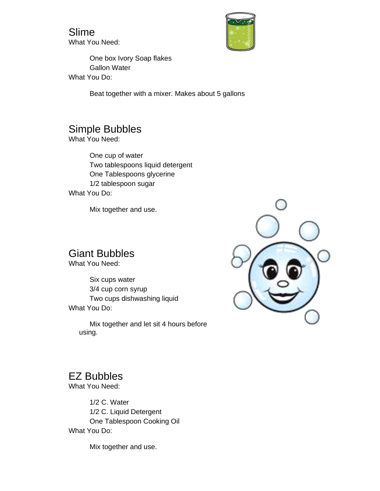Slime What You Need:



One box Ivory Soap flakes Gallon Water What You Do:

Beat together with a mixer. Makes about 5 gallons

#### Simple Bubbles

What You Need:

One cup of water Two tablespoons liquid detergent One Tablespoons glycerine 1/2 tablespoon sugar What You Do:

Mix together and use.

#### Giant Bubbles

What You Need:

Six cups water 3/4 cup corn syrup Two cups dishwashing liquid What You Do:

Mix together and let sit 4 hours before using.



## EZ Bubbles

What You Need:

1/2 C. Water 1/2 C. Liquid Detergent One Tablespoon Cooking Oil What You Do:

Mix together and use.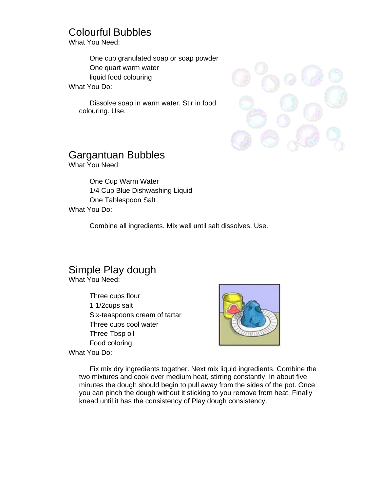#### Colourful Bubbles

What You Need:

One cup granulated soap or soap powder One quart warm water liquid food colouring What You Do:

Dissolve soap in warm water. Stir in food colouring. Use.



### Gargantuan Bubbles

What You Need:

One Cup Warm Water 1/4 Cup Blue Dishwashing Liquid One Tablespoon Salt What You Do:

Combine all ingredients. Mix well until salt dissolves. Use.

#### Simple Play dough

What You Need:

Three cups flour 1 1/2cups salt Six-teaspoons cream of tartar Three cups cool water Three Tbsp oil Food coloring



What You Do:

Fix mix dry ingredients together. Next mix liquid ingredients. Combine the two mixtures and cook over medium heat, stirring constantly. In about five minutes the dough should begin to pull away from the sides of the pot. Once you can pinch the dough without it sticking to you remove from heat. Finally knead until it has the consistency of Play dough consistency.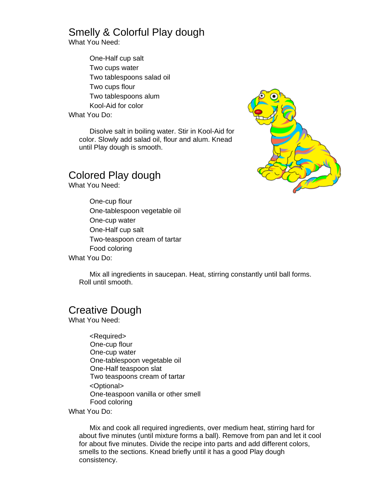# Smelly & Colorful Play dough

What You Need:

One-Half cup salt Two cups water Two tablespoons salad oil Two cups flour Two tablespoons alum Kool-Aid for color

What You Do:

Disolve salt in boiling water. Stir in Kool-Aid for color. Slowly add salad oil, flour and alum. Knead until Play dough is smooth.



#### Colored Play dough What You Need:

One-cup flour One-tablespoon vegetable oil One-cup water One-Half cup salt Two-teaspoon cream of tartar Food coloring

What You Do:

Mix all ingredients in saucepan. Heat, stirring constantly until ball forms. Roll until smooth.

#### Creative Dough

What You Need:

<Required> One-cup flour One-cup water One-tablespoon vegetable oil One-Half teaspoon slat Two teaspoons cream of tartar <Optional> One-teaspoon vanilla or other smell Food coloring

What You Do:

Mix and cook all required ingredients, over medium heat, stirring hard for about five minutes (until mixture forms a ball). Remove from pan and let it cool for about five minutes. Divide the recipe into parts and add different colors, smells to the sections. Knead briefly until it has a good Play dough consistency.